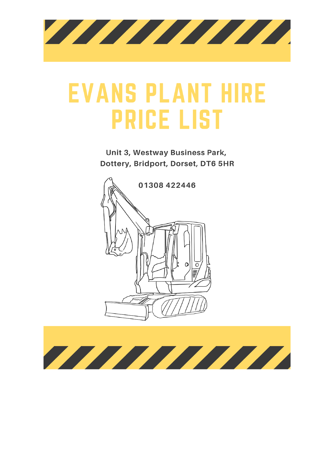

## **EVANS PLANT HIRE PRICE LIST**

Unit 3, Westway Business Park, Dottery, Bridport, Dorset, DT6 5HR



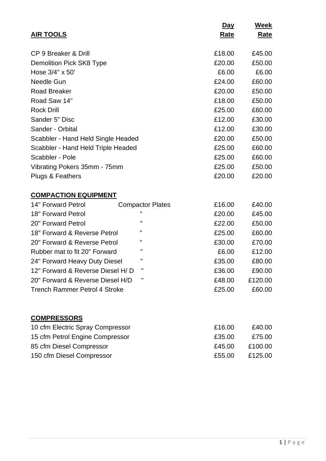|                                                     | <u>Day</u>  | Week            |
|-----------------------------------------------------|-------------|-----------------|
| <b>AIR TOOLS</b>                                    | <u>Rate</u> | <u>Rate</u>     |
|                                                     |             |                 |
| CP 9 Breaker & Drill                                | £18.00      | £45.00          |
| <b>Demolition Pick SK8 Type</b>                     | £20.00      | £50.00<br>£6.00 |
| Hose 3/4" x 50"<br>Needle Gun                       | £6.00       | £60.00          |
|                                                     | £24.00      |                 |
| <b>Road Breaker</b>                                 | £20.00      | £50.00          |
| Road Saw 14"                                        | £18.00      | £50.00          |
| <b>Rock Drill</b>                                   | £25.00      | £60.00          |
| Sander 5" Disc                                      | £12.00      | £30.00          |
| Sander - Orbital                                    | £12.00      | £30.00          |
| Scabbler - Hand Held Single Headed                  | £20.00      | £50.00          |
| Scabbler - Hand Held Triple Headed                  | £25.00      | £60.00          |
| Scabbler - Pole                                     | £25.00      | £60.00          |
| Vibrating Pokers 35mm - 75mm                        | £25.00      | £50.00          |
| Plugs & Feathers                                    | £20.00      | £20.00          |
| <b>COMPACTION EQUIPMENT</b>                         |             |                 |
| 14" Forward Petrol<br><b>Compactor Plates</b>       | £16.00      | £40.00          |
| п<br>18" Forward Petrol                             | £20.00      | £45.00          |
| $\mathbf{H}$<br>20" Forward Petrol                  | £22.00      | £50.00          |
| п<br>18" Forward & Reverse Petrol                   | £25.00      | £60.00          |
| п<br>20" Forward & Reverse Petrol                   | £30.00      | £70.00          |
| п<br>Rubber mat to fit 20" Forward                  | £6.00       | £12.00          |
| $\pmb{\mathsf{H}}$<br>24" Forward Heavy Duty Diesel | £35.00      | £80.00          |
| п<br>12" Forward & Reverse Diesel H/D               | £36.00      | £90.00          |
| π<br>20" Forward & Reverse Diesel H/D               | £48.00      | £120.00         |
| <b>Trench Rammer Petrol 4 Stroke</b>                | £25.00      | £60.00          |
|                                                     |             |                 |
| <b>COMPRESSORS</b>                                  |             |                 |
| 10 cfm Electric Spray Compressor                    | £16.00      | £40.00          |
| 15 cfm Petrol Engine Compressor                     | £35.00      | £75.00          |
| 85 cfm Diesel Compressor                            | £45.00      | £100.00         |
| 150 cfm Diesel Compressor                           | £55.00      | £125.00         |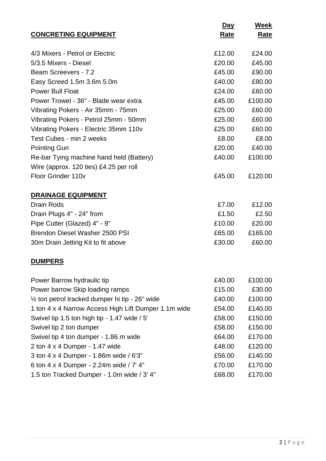|                                                           | <u>Day</u>  | Week        |
|-----------------------------------------------------------|-------------|-------------|
| <b>CONCRETING EQUIPMENT</b>                               | <u>Rate</u> | <u>Rate</u> |
|                                                           |             |             |
| 4/3 Mixers - Petrol or Electric                           | £12.00      | £24.00      |
| 5/3.5 Mixers - Diesel                                     | £20.00      | £45.00      |
| Beam Screevers - 7.2                                      | £45.00      | £90.00      |
| Easy Screed 1.5m 3.6m 5.0m                                | £40.00      | £80.00      |
| <b>Power Bull Float</b>                                   | £24.00      | £60.00      |
| Power Trowel - 36" - Blade wear extra                     | £45.00      | £100.00     |
| Vibrating Pokers - Air 35mm - 75mm                        | £25.00      | £60.00      |
| Vibrating Pokers - Petrol 25mm - 50mm                     | £25.00      | £60.00      |
| Vibrating Pokers - Electric 35mm 110v                     | £25.00      | £60.00      |
| Test Cubes - min 2 weeks                                  | £8.00       | £8.00       |
| <b>Pointing Gun</b>                                       | £20.00      | £40.00      |
| Re-bar Tying machine hand held (Battery)                  | £40.00      | £100.00     |
| Wire (approx. 120 ties) £4.25 per roll                    |             |             |
| Floor Grinder 110v                                        | £45.00      | £120.00     |
|                                                           |             |             |
| <b>DRAINAGE EQUIPMENT</b>                                 |             |             |
| <b>Drain Rods</b>                                         | £7.00       | £12.00      |
| Drain Plugs 4" - 24" from                                 | £1.50       | £2.50       |
| Pipe Cutter (Glazed) 4" - 9"                              | £10.00      | £20.00      |
| Brendon Diesel Washer 2500 PSI                            | £65.00      | £165.00     |
| 30m Drain Jetting Kit to fit above                        | £30.00      | £60.00      |
|                                                           |             |             |
| <b>DUMPERS</b>                                            |             |             |
| Power Barrow hydraulic tip                                | £40.00      | £100.00     |
| Power barrow Skip loading ramps                           | £15.00      | £30.00      |
| $\frac{1}{2}$ ton petrol tracked dumper hi tip - 26" wide | £40.00      | £100.00     |
| 1 ton 4 x 4 Narrow Access High Lift Dumper 1.1m wide      | £54.00      | £140.00     |
| Swivel tip 1.5 ton high tip - 1.47 wide $/5'$             | £58.00      | £150.00     |
| Swivel tip 2 ton dumper                                   | £58.00      | £150.00     |
| Swivel tip 4 ton dumper - 1.86 m wide                     | £64.00      | £170.00     |
| 2 ton 4 x 4 Dumper - 1.47 wide                            | £48.00      | £120.00     |
| 3 ton 4 x 4 Dumper - 1.86m wide / 6'3"                    | £56.00      | £140.00     |
| 6 ton 4 x 4 Dumper - 2.24m wide / 7' 4"                   | £70.00      | £170.00     |
| 1.5 ton Tracked Dumper - 1.0m wide / 3' 4"                | £68.00      | £170.00     |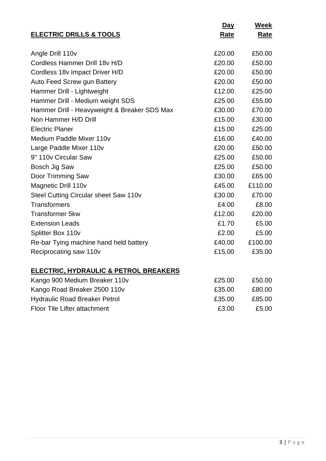| <b>ELECTRIC DRILLS &amp; TOOLS</b>           | Day<br>Rate | Week<br>Rate |
|----------------------------------------------|-------------|--------------|
|                                              |             |              |
| Angle Drill 110v                             | £20.00      | £50.00       |
| Cordless Hammer Drill 18y H/D                | £20.00      | £50.00       |
| Cordless 18v Impact Driver H/D               | £20.00      | £50.00       |
| Auto Feed Screw gun Battery                  | £20.00      | £50.00       |
| Hammer Drill - Lightweight                   | £12.00      | £25.00       |
| Hammer Drill - Medium weight SDS             | £25.00      | £55.00       |
| Hammer Drill - Heavyweight & Breaker SDS Max | £30.00      | £70.00       |
| Non Hammer H/D Drill                         | £15.00      | £30.00       |
| <b>Electric Planer</b>                       | £15.00      | £25.00       |
| Medium Paddle Mixer 110y                     | £16.00      | £40.00       |
| Large Paddle Mixer 110v                      | £20.00      | £50.00       |
| 9" 110v Circular Saw                         | £25.00      | £50.00       |
| Bosch Jig Saw                                | £25.00      | £50.00       |
| Door Trimming Saw                            | £30.00      | £65.00       |
| Magnetic Drill 110v                          | £45.00      | £110.00      |
| Steel Cutting Circular sheet Saw 110v        | £30.00      | £70.00       |
| <b>Transformers</b>                          | £4.00       | £8.00        |
| <b>Transformer 5kw</b>                       | £12.00      | £20.00       |
| <b>Extension Leads</b>                       | £1.70       | £5.00        |
| Splitter Box 110v                            | £2.00       | £5.00        |
| Re-bar Tying machine hand held battery       | £40.00      | £100.00      |
| Reciprocating saw 110v                       | £15.00      | £35.00       |
| ELECTRIC, HYDRAULIC & PETROL BREAKERS        |             |              |
| Kango 900 Medium Breaker 110v                | £25.00      | £50.00       |
| Kango Road Breaker 2500 110v                 | £35.00      | £80.00       |
| <b>Hydraulic Road Breaker Petrol</b>         | £35.00      | £85.00       |
| Floor Tile Lifter attachment                 | £3.00       | £5.00        |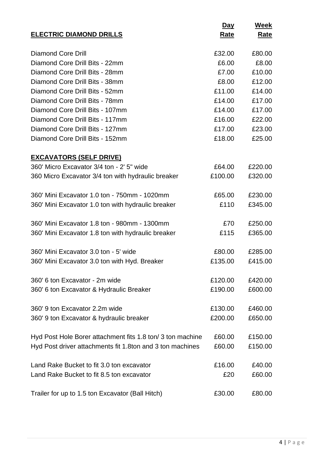|                                                           | <b>Day</b>  | Week        |
|-----------------------------------------------------------|-------------|-------------|
| <b>ELECTRIC DIAMOND DRILLS</b>                            | <u>Rate</u> | <b>Rate</b> |
|                                                           |             |             |
| Diamond Core Drill                                        | £32.00      | £80.00      |
| Diamond Core Drill Bits - 22mm                            | £6.00       | £8.00       |
| Diamond Core Drill Bits - 28mm                            | £7.00       | £10.00      |
| Diamond Core Drill Bits - 38mm                            | £8.00       | £12.00      |
| Diamond Core Drill Bits - 52mm                            | £11.00      | £14.00      |
| Diamond Core Drill Bits - 78mm                            | £14.00      | £17.00      |
| Diamond Core Drill Bits - 107mm                           | £14.00      | £17.00      |
| Diamond Core Drill Bits - 117mm                           | £16.00      | £22.00      |
| Diamond Core Drill Bits - 127mm                           | £17.00      | £23.00      |
| Diamond Core Drill Bits - 152mm                           | £18.00      | £25.00      |
| <b>EXCAVATORS (SELF DRIVE)</b>                            |             |             |
| 360' Micro Excavator 3/4 ton - 2' 5" wide                 | £64.00      | £220.00     |
| 360 Micro Excavator 3/4 ton with hydraulic breaker        | £100.00     | £320.00     |
|                                                           |             |             |
| 360' Mini Excavator 1.0 ton - 750mm - 1020mm              | £65.00      | £230.00     |
| 360' Mini Excavator 1.0 ton with hydraulic breaker        | £110        | £345.00     |
|                                                           |             |             |
| 360' Mini Excavator 1.8 ton - 980mm - 1300mm              | £70         | £250.00     |
| 360' Mini Excavator 1.8 ton with hydraulic breaker        | £115        | £365.00     |
|                                                           |             |             |
| 360' Mini Excavator 3.0 ton - 5' wide                     | £80.00      | £285.00     |
| 360' Mini Excavator 3.0 ton with Hyd. Breaker             | £135.00     | £415.00     |
|                                                           |             |             |
| 360' 6 ton Excavator - 2m wide                            | £120.00     | £420.00     |
| 360' 6 ton Excavator & Hydraulic Breaker                  | £190.00     | £600.00     |
| 360' 9 ton Excavator 2.2m wide                            | £130.00     | £460.00     |
| 360' 9 ton Excavator & hydraulic breaker                  | £200.00     | £650.00     |
|                                                           |             |             |
| Hyd Post Hole Borer attachment fits 1.8 ton/3 ton machine | £60.00      | £150.00     |
| Hyd Post driver attachments fit 1.8ton and 3 ton machines | £60.00      | £150.00     |
|                                                           |             |             |
| Land Rake Bucket to fit 3.0 ton excavator                 | £16.00      | £40.00      |
| Land Rake Bucket to fit 8.5 ton excavator                 | £20         | £60.00      |
|                                                           |             |             |
| Trailer for up to 1.5 ton Excavator (Ball Hitch)          | £30.00      | £80.00      |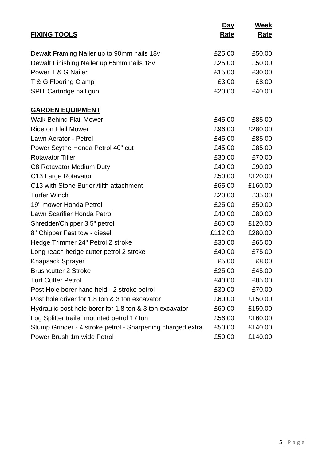|                                                            | Day         | Week        |
|------------------------------------------------------------|-------------|-------------|
| <b>FIXING TOOLS</b>                                        | <u>Rate</u> | <b>Rate</b> |
|                                                            |             |             |
| Dewalt Framing Nailer up to 90mm nails 18v                 | £25.00      | £50.00      |
| Dewalt Finishing Nailer up 65mm nails 18v                  | £25.00      | £50.00      |
| Power T & G Nailer                                         | £15.00      | £30.00      |
| T & G Flooring Clamp                                       | £3.00       | £8.00       |
| SPIT Cartridge nail gun                                    | £20.00      | £40.00      |
| <b>GARDEN EQUIPMENT</b>                                    |             |             |
| <b>Walk Behind Flail Mower</b>                             | £45.00      | £85.00      |
| <b>Ride on Flail Mower</b>                                 | £96.00      | £280.00     |
| Lawn Aerator - Petrol                                      | £45.00      | £85.00      |
| Power Scythe Honda Petrol 40" cut                          | £45.00      | £85.00      |
| <b>Rotavator Tiller</b>                                    | £30.00      | £70.00      |
| C8 Rotavator Medium Duty                                   | £40.00      | £90.00      |
| C13 Large Rotavator                                        | £50.00      | £120.00     |
| C13 with Stone Burier / tilth attachment                   | £65.00      | £160.00     |
| <b>Turfer Winch</b>                                        | £20.00      | £35.00      |
| 19" mower Honda Petrol                                     | £25.00      | £50.00      |
| Lawn Scarifier Honda Petrol                                | £40.00      | £80.00      |
| Shredder/Chipper 3.5" petrol                               | £60.00      | £120.00     |
| 8" Chipper Fast tow - diesel                               | £112.00     | £280.00     |
| Hedge Trimmer 24" Petrol 2 stroke                          | £30.00      | £65.00      |
| Long reach hedge cutter petrol 2 stroke                    | £40.00      | £75.00      |
| <b>Knapsack Sprayer</b>                                    | £5.00       | £8.00       |
| <b>Brushcutter 2 Stroke</b>                                | £25.00      | £45.00      |
| <b>Turf Cutter Petrol</b>                                  | £40.00      | £85.00      |
| Post Hole borer hand held - 2 stroke petrol                | £30.00      | £70.00      |
| Post hole driver for 1.8 ton & 3 ton excavator             | £60.00      | £150.00     |
| Hydraulic post hole borer for 1.8 ton & 3 ton excavator    | £60.00      | £150.00     |
| Log Splitter trailer mounted petrol 17 ton                 | £56.00      | £160.00     |
| Stump Grinder - 4 stroke petrol - Sharpening charged extra | £50.00      | £140.00     |
| Power Brush 1m wide Petrol                                 | £50.00      | £140.00     |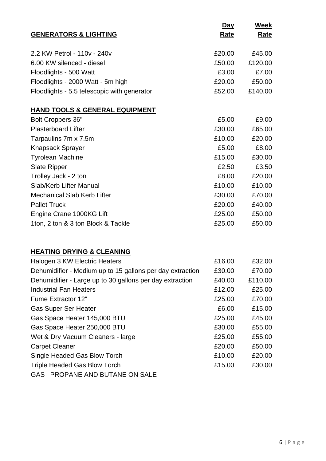|                                                        | Day         | <b>Week</b> |
|--------------------------------------------------------|-------------|-------------|
| <b>GENERATORS &amp; LIGHTING</b>                       | <b>Rate</b> | <b>Rate</b> |
| 2.2 KW Petrol - 110v - 240v                            | £20.00      | £45.00      |
| 6.00 KW silenced - diesel                              | £50.00      | £120.00     |
| Floodlights - 500 Watt                                 | £3.00       | £7.00       |
| Floodlights - 2000 Watt - 5m high                      | £20.00      | £50.00      |
| Floodlights - 5.5 telescopic with generator            | £52.00      | £140.00     |
| <b>HAND TOOLS &amp; GENERAL EQUIPMENT</b>              |             |             |
| <b>Bolt Croppers 36"</b>                               | £5.00       | £9.00       |
| <b>Plasterboard Lifter</b>                             | £30.00      | £65.00      |
| Tarpaulins 7m x 7.5m                                   | £10.00      | £20.00      |
| <b>Knapsack Sprayer</b>                                | £5.00       | £8.00       |
| <b>Tyrolean Machine</b>                                | £15.00      | £30.00      |
| <b>Slate Ripper</b>                                    | £2.50       | £3.50       |
| Trolley Jack - 2 ton                                   | £8.00       | £20.00      |
| Slab/Kerb Lifter Manual                                | £10.00      | £10.00      |
| <b>Mechanical Slab Kerb Lifter</b>                     | £30.00      | £70.00      |
| <b>Pallet Truck</b>                                    | £20.00      | £40.00      |
| Engine Crane 1000KG Lift                               | £25.00      | £50.00      |
| 1ton, 2 ton & 3 ton Block & Tackle                     | £25.00      | £50.00      |
| <b>HEATING DRYING &amp; CLEANING</b>                   |             |             |
| Halogen 3 KW Electric Heaters                          | £16.00      | £32.00      |
| Debumidition Medium unto 15 gollong non dou outrootion | coo oo      | 070.QQ      |

| Dehumidifier - Medium up to 15 gallons per day extraction | £30.00 | £70.00  |
|-----------------------------------------------------------|--------|---------|
| Dehumidifier - Large up to 30 gallons per day extraction  | £40.00 | £110.00 |
| <b>Industrial Fan Heaters</b>                             | £12.00 | £25.00  |
| Fume Extractor 12"                                        | £25.00 | £70.00  |
| <b>Gas Super Ser Heater</b>                               | £6.00  | £15.00  |
| Gas Space Heater 145,000 BTU                              | £25.00 | £45.00  |
| Gas Space Heater 250,000 BTU                              | £30.00 | £55.00  |
| Wet & Dry Vacuum Cleaners - large                         | £25.00 | £55.00  |
| <b>Carpet Cleaner</b>                                     | £20.00 | £50.00  |
| Single Headed Gas Blow Torch                              | £10.00 | £20.00  |
| <b>Triple Headed Gas Blow Torch</b>                       | £15.00 | £30.00  |
| GAS PROPANE AND BUTANE ON SALE                            |        |         |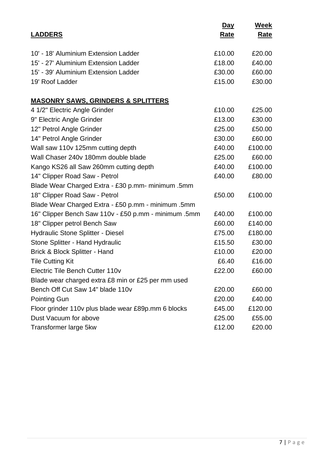|                                                      | Day         | Week        |
|------------------------------------------------------|-------------|-------------|
| <b>LADDERS</b>                                       | <u>Rate</u> | <u>Rate</u> |
|                                                      |             |             |
| 10' - 18' Aluminium Extension Ladder                 | £10.00      | £20.00      |
| 15' - 27' Aluminium Extension Ladder                 | £18.00      | £40.00      |
| 15' - 39' Aluminium Extension Ladder                 | £30.00      | £60.00      |
| 19' Roof Ladder                                      | £15.00      | £30.00      |
| <b>MASONRY SAWS, GRINDERS &amp; SPLITTERS</b>        |             |             |
| 4 1/2" Electric Angle Grinder                        | £10.00      | £25.00      |
| 9" Electric Angle Grinder                            | £13.00      | £30.00      |
| 12" Petrol Angle Grinder                             | £25.00      | £50.00      |
| 14" Petrol Angle Grinder                             | £30.00      | £60.00      |
| Wall saw 110v 125mm cutting depth                    | £40.00      | £100.00     |
| Wall Chaser 240y 180mm double blade                  | £25.00      | £60.00      |
| Kango KS26 all Saw 260mm cutting depth               | £40.00      | £100.00     |
| 14" Clipper Road Saw - Petrol                        | £40.00      | £80.00      |
| Blade Wear Charged Extra - £30 p.mm- minimum .5mm    |             |             |
| 18" Clipper Road Saw - Petrol                        | £50.00      | £100.00     |
| Blade Wear Charged Extra - £50 p.mm - minimum .5mm   |             |             |
| 16" Clipper Bench Saw 110v - £50 p.mm - minimum .5mm | £40.00      | £100.00     |
| 18" Clipper petrol Bench Saw                         | £60.00      | £140.00     |
| <b>Hydraulic Stone Splitter - Diesel</b>             | £75.00      | £180.00     |
| Stone Splitter - Hand Hydraulic                      | £15.50      | £30.00      |
| Brick & Block Splitter - Hand                        | £10.00      | £20.00      |
| <b>Tile Cutting Kit</b>                              | £6.40       | £16.00      |
| Electric Tile Bench Cutter 110v                      | £22.00      | £60.00      |
| Blade wear charged extra £8 min or £25 per mm used   |             |             |
| Bench Off Cut Saw 14" blade 110v                     | £20.00      | £60.00      |
| <b>Pointing Gun</b>                                  | £20.00      | £40.00      |
| Floor grinder 110v plus blade wear £89p.mm 6 blocks  | £45.00      | £120.00     |
| Dust Vacuum for above                                | £25.00      | £55.00      |
| Transformer large 5kw                                | £12.00      | £20.00      |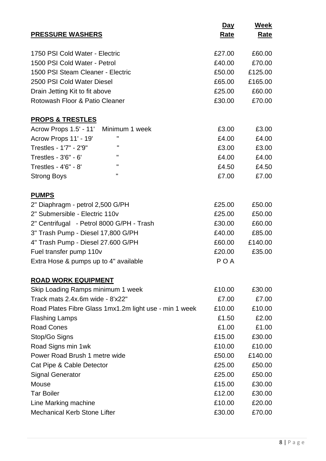|                                                        | <u>Day</u>  | Week        |
|--------------------------------------------------------|-------------|-------------|
| <b>PRESSURE WASHERS</b>                                | <u>Rate</u> | <u>Rate</u> |
|                                                        |             |             |
| 1750 PSI Cold Water - Electric                         | £27.00      | £60.00      |
| 1500 PSI Cold Water - Petrol                           | £40.00      | £70.00      |
| 1500 PSI Steam Cleaner - Electric                      | £50.00      | £125.00     |
| 2500 PSI Cold Water Diesel                             | £65.00      | £165.00     |
| Drain Jetting Kit to fit above                         | £25.00      | £60.00      |
| Rotowash Floor & Patio Cleaner                         | £30.00      | £70.00      |
| <b>PROPS &amp; TRESTLES</b>                            |             |             |
| Acrow Props 1.5' - 11' Minimum 1 week                  | £3.00       | £3.00       |
| п<br>Acrow Props 11' - 19'                             | £4.00       | £4.00       |
| п<br>Trestles - 1'7" - 2'9"                            | £3.00       | £3.00       |
| п<br>Trestles - 3'6" - 6'                              | £4.00       | £4.00       |
| ш<br>Trestles - 4'6" - 8'                              | £4.50       | £4.50       |
| п<br><b>Strong Boys</b>                                | £7.00       | £7.00       |
| <b>PUMPS</b>                                           |             |             |
| 2" Diaphragm - petrol 2,500 G/PH                       | £25.00      | £50.00      |
| 2" Submersible - Electric 110v                         | £25.00      | £50.00      |
| 2" Centrifugal - Petrol 8000 G/PH - Trash              | £30.00      | £60.00      |
| 3" Trash Pump - Diesel 17,800 G/PH                     | £40.00      | £85.00      |
| 4" Trash Pump - Diesel 27.600 G/PH                     | £60.00      | £140.00     |
| Fuel transfer pump 110v                                | £20.00      | £35.00      |
| Extra Hose & pumps up to 4" available                  | <b>POA</b>  |             |
| <b>ROAD WORK EQUIPMENT</b>                             |             |             |
| Skip Loading Ramps minimum 1 week                      | £10.00      | £30.00      |
| Track mats 2.4x.6m wide - 8'x22"                       | £7.00       | £7.00       |
| Road Plates Fibre Glass 1mx1.2m light use - min 1 week | £10.00      | £10.00      |
| <b>Flashing Lamps</b>                                  | £1.50       | £2.00       |
| <b>Road Cones</b>                                      | £1.00       | £1.00       |
| Stop/Go Signs                                          | £15.00      | £30.00      |
| Road Signs min 1wk                                     | £10.00      | £10.00      |
| Power Road Brush 1 metre wide                          | £50.00      | £140.00     |
| Cat Pipe & Cable Detector                              | £25.00      | £50.00      |
| <b>Signal Generator</b>                                | £25.00      | £50.00      |
| Mouse                                                  | £15.00      | £30.00      |
| <b>Tar Boiler</b>                                      | £12.00      | £30.00      |
| Line Marking machine                                   | £10.00      | £20.00      |
| <b>Mechanical Kerb Stone Lifter</b>                    | £30.00      | £70.00      |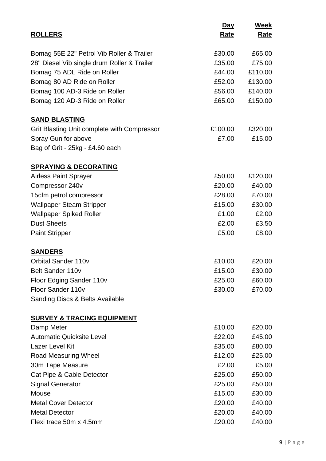|                                             | <u>Day</u>  | Week        |
|---------------------------------------------|-------------|-------------|
| <b>ROLLERS</b>                              | <u>Rate</u> | <u>Rate</u> |
|                                             |             |             |
| Bomag 55E 22" Petrol Vib Roller & Trailer   | £30.00      | £65.00      |
| 28" Diesel Vib single drum Roller & Trailer | £35.00      | £75.00      |
| Bomag 75 ADL Ride on Roller                 | £44.00      | £110.00     |
| Bomag 80 AD Ride on Roller                  | £52.00      | £130.00     |
| Bomag 100 AD-3 Ride on Roller               | £56.00      | £140.00     |
| Bomag 120 AD-3 Ride on Roller               | £65.00      | £150.00     |
| <b>SAND BLASTING</b>                        |             |             |
| Grit Blasting Unit complete with Compressor | £100.00     | £320.00     |
| Spray Gun for above                         | £7.00       | £15.00      |
| Bag of Grit - 25kg - £4.60 each             |             |             |
| <b>SPRAYING &amp; DECORATING</b>            |             |             |
| <b>Airless Paint Sprayer</b>                | £50.00      | £120.00     |
| Compressor 240v                             | £20.00      | £40.00      |
| 15cfm petrol compressor                     | £28.00      | £70.00      |
| <b>Wallpaper Steam Stripper</b>             | £15.00      | £30.00      |
| <b>Wallpaper Spiked Roller</b>              | £1.00       | £2.00       |
| <b>Dust Sheets</b>                          | £2.00       | £3.50       |
| <b>Paint Stripper</b>                       | £5.00       | £8.00       |
| <b>SANDERS</b>                              |             |             |
| <b>Orbital Sander 110v</b>                  | £10.00      | £20.00      |
| <b>Belt Sander 110v</b>                     | £15.00      | £30.00      |
| Floor Edging Sander 110v                    | £25.00      | £60.00      |
| Floor Sander 110v                           | £30.00      | £70.00      |
| Sanding Discs & Belts Available             |             |             |
| <b>SURVEY &amp; TRACING EQUIPMENT</b>       |             |             |
| Damp Meter                                  | £10.00      | £20.00      |
| <b>Automatic Quicksite Level</b>            | £22.00      | £45.00      |
| Lazer Level Kit                             | £35.00      | £80.00      |
| <b>Road Measuring Wheel</b>                 | £12.00      | £25.00      |
| 30m Tape Measure                            | £2.00       | £5.00       |
| Cat Pipe & Cable Detector                   | £25.00      | £50.00      |
| <b>Signal Generator</b>                     | £25.00      | £50.00      |
| Mouse                                       | £15.00      | £30.00      |
| <b>Metal Cover Detector</b>                 | £20.00      | £40.00      |
| <b>Metal Detector</b>                       | £20.00      | £40.00      |
| Flexi trace 50m x 4.5mm                     | £20.00      | £40.00      |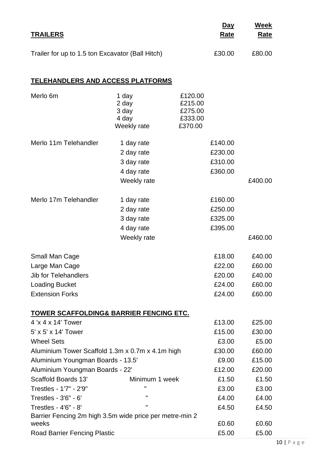|                                                                                                                                                                                                                                                                         |                                                                     |                                                     | <u>Day</u>                                                      | <b>Week</b>                                                      |
|-------------------------------------------------------------------------------------------------------------------------------------------------------------------------------------------------------------------------------------------------------------------------|---------------------------------------------------------------------|-----------------------------------------------------|-----------------------------------------------------------------|------------------------------------------------------------------|
| <b>TRAILERS</b>                                                                                                                                                                                                                                                         |                                                                     |                                                     | <u>Rate</u>                                                     | <u>Rate</u>                                                      |
| Trailer for up to 1.5 ton Excavator (Ball Hitch)                                                                                                                                                                                                                        |                                                                     |                                                     | £30.00                                                          | £80.00                                                           |
| <b>TELEHANDLERS AND ACCESS PLATFORMS</b>                                                                                                                                                                                                                                |                                                                     |                                                     |                                                                 |                                                                  |
| Merlo 6m                                                                                                                                                                                                                                                                | 1 day<br>2 day<br>3 day<br>4 day<br>Weekly rate                     | £120.00<br>£215.00<br>£275.00<br>£333.00<br>£370.00 |                                                                 |                                                                  |
| Merlo 11m Telehandler                                                                                                                                                                                                                                                   | 1 day rate<br>2 day rate<br>3 day rate<br>4 day rate<br>Weekly rate |                                                     | £140.00<br>£230.00<br>£310.00<br>£360.00                        | £400.00                                                          |
| Merlo 17m Telehandler                                                                                                                                                                                                                                                   | 1 day rate<br>2 day rate<br>3 day rate<br>4 day rate<br>Weekly rate |                                                     | £160.00<br>£250.00<br>£325.00<br>£395.00                        | £460.00                                                          |
| <b>Small Man Cage</b><br>Large Man Cage<br>Jib for Telehandlers<br><b>Loading Bucket</b><br><b>Extension Forks</b>                                                                                                                                                      |                                                                     |                                                     | £18.00<br>£22.00<br>£20.00<br>£24.00<br>£24.00                  | £40.00<br>£60.00<br>£40.00<br>£60.00<br>£60.00                   |
| <u>TOWER SCAFFOLDING&amp; BARRIER FENCING ETC.</u><br>4 'x 4 x 14' Tower<br>5' x 5' x 14' Tower<br><b>Wheel Sets</b><br>Aluminium Tower Scaffold 1.3m x 0.7m x 4.1m high<br>Aluminium Youngman Boards - 13.5'<br>Aluminium Youngman Boards - 22'<br>Scaffold Boards 13' | Minimum 1 week                                                      |                                                     | £13.00<br>£15.00<br>£3.00<br>£30.00<br>£9.00<br>£12.00<br>£1.50 | £25.00<br>£30.00<br>£5.00<br>£60.00<br>£15.00<br>£20.00<br>£1.50 |
| Trestles - 1'7" - 2'9"<br>Trestles - 3'6" - 6'<br>Trestles - 4'6" - 8'<br>Barrier Fencing 2m high 3.5m wide price per metre-min 2<br>weeks<br><b>Road Barrier Fencing Plastic</b>                                                                                       | п<br>п<br>п                                                         |                                                     | £3.00<br>£4.00<br>£4.50<br>£0.60<br>£5.00                       | £3.00<br>£4.00<br>£4.50<br>£0.60<br>£5.00                        |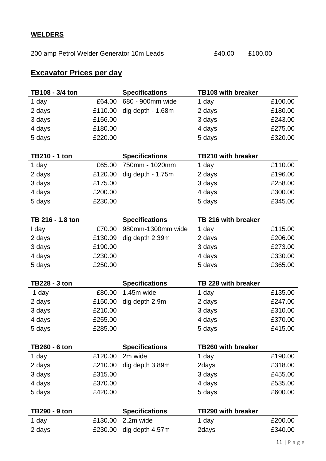## **WELDERS**

200 amp Petrol Welder Generator 10m Leads  $£40.00$  £100.00

## **Excavator Prices per day**

| TB108 - 3/4 ton      |         | <b>Specifications</b> | <b>TB108 with breaker</b> |         |
|----------------------|---------|-----------------------|---------------------------|---------|
| 1 day                | £64.00  | 680 - 900mm wide      | 1 day                     | £100.00 |
| 2 days               | £110.00 | dig depth - 1.68m     | 2 days                    | £180.00 |
| 3 days               | £156.00 |                       | 3 days                    | £243.00 |
| 4 days               | £180.00 |                       | 4 days                    | £275.00 |
| 5 days               | £220.00 |                       | 5 days                    | £320.00 |
|                      |         |                       |                           |         |
| <b>TB210 - 1 ton</b> |         | <b>Specifications</b> | <b>TB210 with breaker</b> |         |
| 1 day                | £65.00  | 750mm - 1020mm        | 1 day                     | £110.00 |
| 2 days               | £120.00 | dig depth - 1.75m     | 2 days                    | £196.00 |
| 3 days               | £175.00 |                       | 3 days                    | £258.00 |
| 4 days               | £200.00 |                       | 4 days                    | £300.00 |
| 5 days               | £230.00 |                       | 5 days                    | £345.00 |
|                      |         |                       |                           |         |
| TB 216 - 1.8 ton     |         | <b>Specifications</b> | TB 216 with breaker       |         |
| I day                | £70.00  | 980mm-1300mm wide     | 1 day                     | £115.00 |
| 2 days               | £130.09 | dig depth 2.39m       | 2 days                    | £206.00 |
| 3 days               | £190.00 |                       | 3 days                    | £273.00 |
| 4 days               | £230.00 |                       | 4 days                    | £330.00 |
|                      |         |                       |                           |         |
| 5 days               | £250.00 |                       | 5 days                    | £365.00 |
|                      |         |                       |                           |         |
| TB228 - 3 ton        |         | <b>Specifications</b> | TB 228 with breaker       |         |
| 1 day                | £80.00  | 1.45m wide            | 1 day                     | £135.00 |
| 2 days               | £150.00 | dig depth 2.9m        | 2 days                    | £247.00 |
| 3 days               | £210.00 |                       | 3 days                    | £310.00 |
| 4 days               | £255.00 |                       | 4 days                    | £370.00 |
| 5 days               | £285.00 |                       | 5 days                    | £415.00 |
|                      |         |                       |                           |         |
| <b>TB260 - 6 ton</b> |         | <b>Specifications</b> | <b>TB260 with breaker</b> |         |
| 1 day                | £120.00 | 2m wide               | 1 day                     | £190.00 |
| 2 days               | £210.00 | dig depth 3.89m       | 2days                     | £318.00 |
| 3 days               | £315.00 |                       | 3 days                    | £455.00 |
| 4 days               | £370.00 |                       | 4 days                    | £535.00 |
| 5 days               | £420.00 |                       | 5 days                    | £600.00 |
|                      |         |                       |                           |         |
| TB290 - 9 ton        |         | <b>Specifications</b> | <b>TB290 with breaker</b> |         |
| 1 day                | £130.00 | 2.2m wide             | 1 day                     | £200.00 |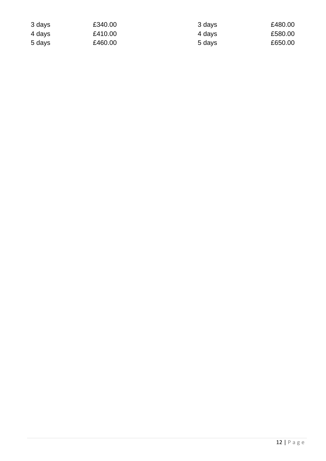| 3 days | £340.00 | 3 days | £480.00 |
|--------|---------|--------|---------|
| 4 days | £410.00 | 4 days | £580.00 |
| 5 days | £460.00 | 5 days | £650.00 |